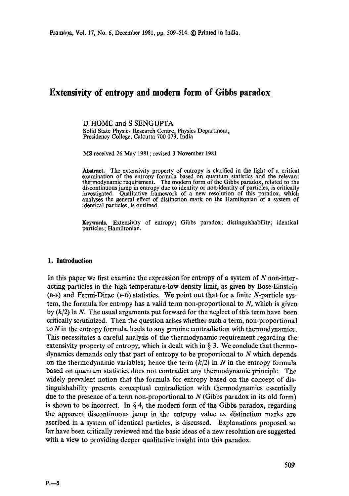# **Extensivity of entropy and modern form of Gibbs paradox**

D HOME and S SENGUPTA

Solid State Physics Research Centre, Physics Department, Presidency College, Calcutta 700 073, India

MS received 26 May 1981 ; revised 3 November 1981

**Abstract.** The extensivity property of entropy is clarified in the light of a critical examination of the entropy formula based on quantum statistics and the relevant thermodynamic requirement. The modern form of the Gibbs paradox, related to the discontinuous jump in entropy due to identity or non-identity of particles, is critically investigated. Qualitative framework of a new resolution of this paradox, which analyses the general effect of distinction mark on the Hamiltonian of a system of identical particles, is outlined.

**Keywords.** Extensivity of entropy; Gibbs paradox; distinguishability; identical **particles; Hamiltonian.** 

#### **1. Introduction**

In this paper we first examine the expression for entropy of a system of N non-interacting particles in the high temperature-low density limit, as given by Bose-Einstein  $(B-E)$  and Fermi-Dirac (F-D) statistics. We point out that for a finite N-particle system, the formula for entropy has a valid term non-proportional to  $N$ , which is given by  $(k/2)$  ln N. The usual arguments put forward for the neglect of this term have been critically scrutinized. Then the question arises whether such a term, non-proportional to N in the entropy formula, leads to any genuine contradiction with thermodynamics. This necessitates a careful analysis of the thermodynamic requirement regarding the extensivity property of entropy, which is dealt with in  $\S$  3. We conclude that thermodynamics demands only that part of entropy to be proportional to N which depends on the thermodynamic variables; hence the term  $(k/2)$  ln N in the entropy formula based on quantum statistics does not contradict any thermodynamic principle. The widely prevalent notion that the formula for entropy based on the concept of distinguishability presents conceptual contradiction with thermodynamics essentially due to the presence of a term non-proportional to  $N$  (Gibbs paradox in its old form) is shown to be incorrect. In  $\S 4$ , the modern form of the Gibbs paradox, regarding the apparent discontinuous jump in the entropy value as distinction marks are ascribed in a system of identical particles, is discussed. Explanations proposed so far have been critically reviewed and the basic ideas of a new resolution are suggested with a view to providing deeper qualitative insight into this paradox.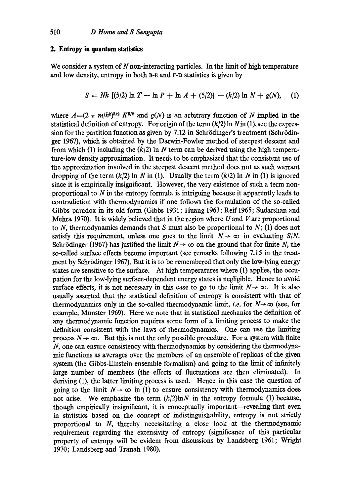## **2. Entropy in quantum statistics**

We consider a system of  $N$  non-interacting particles. In the limit of high temperature and low density, entropy in both a-E and F-D statistics is given by

$$
S = Nk [(5/2) \ln T - \ln P + \ln A + (5/2)] - (k/2) \ln N + g(N), \quad (1)
$$

where  $A = (2 \pi m/h^2)^{3/2} K^{5/2}$  and  $g(N)$  is an arbitrary function of N implied in the statistical definition of entropy. For origin of the term  $(k/2)$  ln  $N$  in (1), see the expression for the partition function as given by 7.12 in Schrödinger's treatment (Schrödinger 1967), which is obtained by the Darwin-Fowler method of steepest descent and from which (1) including the  $(k/2)$  ln N term can be derived using the high temperature-low density approximation. It needs to be emphasized that the consistent use of the approximation involved in the steepest descent method does not as such warrant dropping of the term  $(k/2)$  ln N in (1). Usually the term  $(k/2)$  ln N in (1) is ignored since it is empirically insignificant. However, the very existence of such a term nonproportional to N in the entropy formula is intriguing because it apparently leads to contradiction with thermodynamics if one follows the formulation of the so-called Gibbs paradox in its old form (Gibbs 1931; Huang 1963; Reif 1965; Sudarshan and Mehra 1970). It is widely believed that in the region where  $U$  and  $V$  are proportional to N, thermodynamics demands that S must also be proportional to  $N$ ; (1) does not satisfy this requirement, unless one goes to the limit  $N \rightarrow \infty$  in evaluating *S/N*. Schrödinger (1967) has justified the limit  $N \rightarrow \infty$  on the ground that for finite N, the so-called surface effects become important (see remarks following 7.15 in the treatment by Schrödinger 1967). But it is to be remembered that only the low-lying energy states are sensitive to the surface. At high temperatures where (1) applies, the occupation for the low-lying surface-dependent energy states is negligible. Hence to avoid surface effects, it is not necessary in this case to go to the limit  $N \rightarrow \infty$ . It is also usually asserted that the statistical definition of entropy is consistent with that of thermodynamics only in the so-called thermodynamic limit, *i.e.* for  $N \rightarrow \infty$  (see, for example, Münster 1969). Here we note that in statistical mechanics the definition of any thermodynamic function requires some form of a limiting process to make the definition consistent with the laws of thermodynamics. One can use the limiting process  $N \to \infty$ . But this is not the only possible procedure. For a system with finite N, one can ensure consistency with thermodynamics by considering the thermodynamic functions as averages over the members of an ensemble of replicas of the given system (the Gibbs-Einstein ensemble formalism) and going to the limit of infinitely large number of members (the effects of fluctuations are then eliminated). In deriving (1), the latter limiting process is used. Hence in this case the question of going to the limit  $N \rightarrow \infty$  in (1) to ensure consistency with thermodynamics does not arise. We emphasize the term  $(k/2)$ ln $N$  in the entropy formula (1) because, though empirically insignificant, it is conceptually important-revealing that even in statistics based on the concept of indistinguishability, entropy is not strictly proportional to N, thereby necessitating a close look at the thermodynamic requirement regarding the extensivity of entropy (significance of this particular property of entropy will be evident from discussions by Landsberg 1961; Wright 1970; Landsberg and Tranah 1980).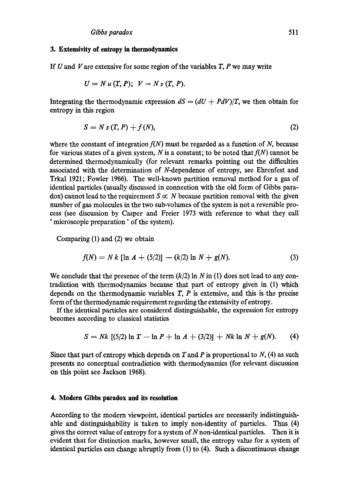#### **3. Extensivity of entropy in thermodynamics**

If  $U$  and  $V$  are extensive for some region of the variables  $T$ ,  $P$  we may write

$$
U = N u(T, P); V = N v(T, P).
$$

Integrating the thermodynamic expression  $dS = (dU + PdV)/T$ , we then obtain for entropy in this region

$$
S = N s(T, P) + f(N), \tag{2}
$$

where the constant of integration  $f(N)$  must be regarded as a function of N, because for various states of a given system, N is a constant; to be noted that  $f(N)$  cannot be determined thermodynamically (for relevant remarks pointing out the difficulties associated with the determination of N-dependence of entropy, see Ehrenfest and Trkal 1921; Fowler 1966). The well-known partition removal method for a gas of identical particles (usually discussed in connection with the old form of Gibbs para $d$ ox) cannot lead to the requirement  $S \propto N$  because partition removal with the given number of gas molecules in the two sub-volumes of the system is not a reversible proeess (see discussion by Casper and Freier 1973 with reference to what they call ' microscopic preparation' of the system).

Comparing (1) and (2) we obtain

$$
f(N) = N k [\ln A + (5/2)] - (k/2) \ln N + g(N). \tag{3}
$$

We conclude that the presence of the term  $(k/2)$  ln N in (1) does not lead to any contradiction with thermodynamics because that part of entropy given in (1) which depends on the thermodynamic variables  $T$ ,  $P$  is extensive, and this is the precise form of the thermodynamic requirement regarding the extensivity of entropy.

If the identical particles are considered distinguishable, the expression for entropy becomes according to classical statistics

$$
S = Nk [(5/2) \ln T - \ln P + \ln A + (3/2)] + Nk \ln N + g(N). \tag{4}
$$

Since that part of entropy which depends on  $T$  and  $P$  is proportional to  $N$ , (4) as such presents no conceptual contradiction with thermodynamics (for relevant discussion on this point see Jackson 1968).

## **4. Modern Gibbs paradox and its resolution**

According to the modern viewpoint, identical particles are necessarily indistinguishable and distinguishability is taken to imply non-identity of particles. Thus (4) gives the correct value of entropy for a system of  $N$  non-identical particles. Then it is evident that for distinction marks, however small, the entropy value for a system of identical particles can change abruptly from (1) to (4). Such a discontinuous change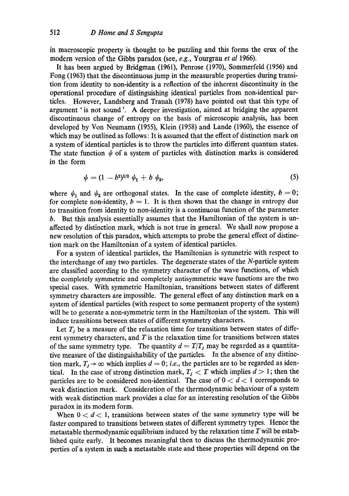in macroscopic property is thought to be puzzling and this forms the crux of the modern version of the Gibbs paradox (see, *e.g.,* Yourgrau *et al* 1966).

It has been argued by Bridgman (1961), Penrose (1970), Sommerfeld (1956) and Fong (1963) that the discontinuous jump in the measurable properties during transition from identity to non-identity is a reflection of the inherent discontinuity in the operational procedure of distinguishing identical particles from non-identical particles. However, Landsberg and Tranah (1978) have pointed out that this type of argument ' is not sound '. A deeper investigation, aimed at bridging the apparent discontinuous change of entropy on the basis of microscopic analysis, has been developed by Yon Neumann (1955), Klein (1958) and Lande (1960), the essence of which may be outlined as follows: It is assumed that the effect of distinction mark on a system of identical particles is to throw the particles into different quantum states. The state function  $\psi$  of a system of particles with distinction marks is considered in the form

$$
\psi = (1 - b^2)^{1/2} \psi_1 + b \psi_2, \tag{5}
$$

where  $\psi_1$  and  $\psi_2$  are orthogonal states. In the case of complete identity,  $b = 0$ ; for complete non-identity,  $b = 1$ . It is then shown that the change in entropy due to transition from identity to non-identity is a continuous function of the parameter b. But this analysis essentially assumes that the Hamiltonian of the system is unaffected by distinction mark, which is not true in general. We shall now propose a new resolution of this paradox, which attempts to probe the general effect of distinction mark on the Hamiltonian of a system of identical particles.

For a system of identical particles, the Hamiltonian is symmetric with respect to the interchange of any two particles. The degenerate states of the N-particle system are classified according to the symmetry character of the wave functions, of which the completely symmetric and completely antisymmetric wave functions are the two special cases. With symmetric Hamiltonian, transitions between states of different symmetry characters are impossible. The general effect of any distinction mark on a system of identical particles (with respect to some permanent property of the system) will be to generate a non-symmetric term in the Hamiltonian of the system. This will induce transitions between states of different symmetry characters.

Let  $T_j$  be a measure of the relaxation time for transitions between states of different symmetry characters, and  $T$  is the relaxation time for transitions between states of the same symmetry type. The quantity  $d = T/T_i$  may be regarded as a quantitative measure of the distinguishability of the particles. In the absence of any distinction mark,  $T_i \rightarrow \infty$  which implies  $d=0$ ; *i.e.*, the particles are to be regarded as identical. In the case of strong distinction mark,  $T_j < T$  which implies  $d > 1$ ; then the particles are to be considered non-identical. The case of  $0 < d < 1$  corresponds to weak distinction mark. Consideration of the thermodynamic behaviour of a system with weak distinction mark provides a clue for an interesting resolution of the Gibbs paradox in its modern form.

When  $0 < d < 1$ , transitions between states of the same symmetry type will be faster compared to transitions between states of different symmetry types. Hence the metastable thermodynamic equilibrium induced by the relaxation time  $T$  will be established quite early. It becomes meaningful then to discuss the thermodynamic properties of a system in such a metastable state and these properties will depend on the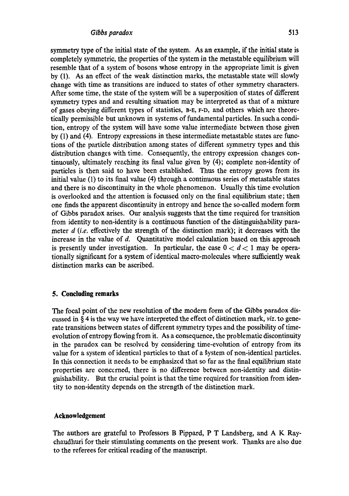symmetry type of the initial state of the system. As an example, if the initial state is completely symmetric, the properties of the system in the metastable equilibrium will resemble that of a system of bosons whose entropy in the appropriate limit is given by (1). As an effect of the weak distinction marks, the metastable state will slowly change with time as transitions are induced to states of other symmetry characters. After some time, the state of the system will be a superposition of states of different symmetry types and and resulting situation may be interpreted as that of a mixture of gases obeying different types of statistics, B-E, r-D, and others which are theoretically permissible but unknown in systems of fundamental particles. In such a condition, entropy of the system will have some value intermediate between those given by (1) and (4). Entropy expressions in these intermediate metastable states are functions of the particle distribution among states of different symmetry types and this distribution changes with time. Consequently, the entropy expression changes continuously, ultimately reaching its final value given by  $(4)$ ; complete non-identity of particles is then said to have been established. Thus the entropy grows from its initial value (1) to its final value (4) through a continuous series of metastable states and there is no discontinuity in the whole phenomenon. Usually this time evolution is overlooked and the attention is focussed only on the final equilibrium state; then one finds the apparent discontinuity in entropy and hence the so-called modern form of Gibbs paradox arises. Our analysis suggests that the time required for transition from identity to non-identity is a continuous function of the distinguishability parameter *d (i.e.* effectively the strength of the distinction mark); it decreases with the increase in the value of d. Quantitative model calculation based on this approach is presently under investigation. In particular, the case  $0 < d < 1$  may be operationally significant for a system of identical macro-molecules where sulficiently weak distinction marks can be ascribed.

## **5. Concluding remarks**

The focal point of the new resolution of the modern form of the Gibbs paradox discussed in § 4 is the way we have interpreted the effect of distinction mark, *viz.* to generate transitions between states of different symmetry types and the possibility of timeevolution of entropy flowing from it. As a consequence, the problematic discontinuity in the paradox can be resolved by considering time-evolution of entropy from its value for a system of identical particles to that of a system of non-identical particles. In this connection it needs to be emphasized that so far as the final equilibrium state properties are concerned, there is no difference between non-identity and distinguishability. But the crucial point is that the time required for transition from identity to non-identity depends on the strength of the distinction mark.

## **Acknowledgement**

The authors are grateful to Professors B Pippard, P T Landsberg, and A K Raychaudhuri for their stimulating comments on the present work. Thanks are also due to the referees for critical reading of the manuscript.